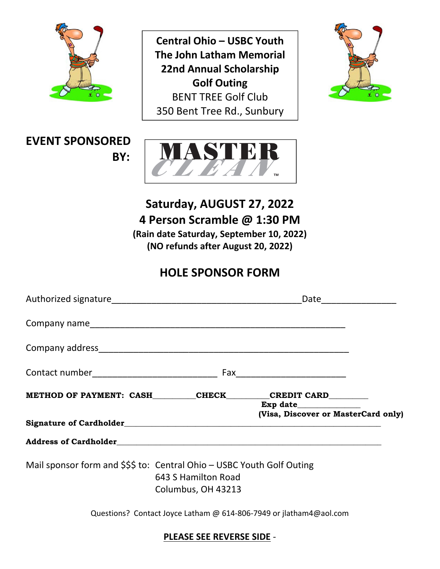

**BENT TREE Golf Club Central Ohio – USBC Youth The John Latham Memorial 22nd Annual Scholarship Golf Outing** 350 Bent Tree Rd., Sunbury



### **EVENT SPONSORED BY:**



**Saturday, AUGUST 27, 2022 4 Person Scramble @ 1:30 PM (Rain date Saturday, September 10, 2022) (NO refunds after August 20, 2022)**

## **HOLE SPONSOR FORM**

|                                                                                                                     |                                                                    | Date ________________               |
|---------------------------------------------------------------------------------------------------------------------|--------------------------------------------------------------------|-------------------------------------|
|                                                                                                                     |                                                                    |                                     |
|                                                                                                                     |                                                                    |                                     |
| Contact number________________________________                                                                      |                                                                    |                                     |
| METHOD OF PAYMENT: CASH_________CHECK________CREDIT CARD________                                                    |                                                                    | Exp date $\qquad \qquad$            |
|                                                                                                                     |                                                                    | (Visa, Discover or MasterCard only) |
|                                                                                                                     |                                                                    |                                     |
| Mail sponsor form and \$\$\$ to: Central Ohio - USBC Youth Golf Outing<br>643 S Hamilton Road<br>Columbus, OH 43213 |                                                                    |                                     |
|                                                                                                                     | Questions? Contact Joyce Latham @ 614-806-7949 or jlatham4@aol.com |                                     |

#### **PLEASE SEE REVERSE SIDE** ‐